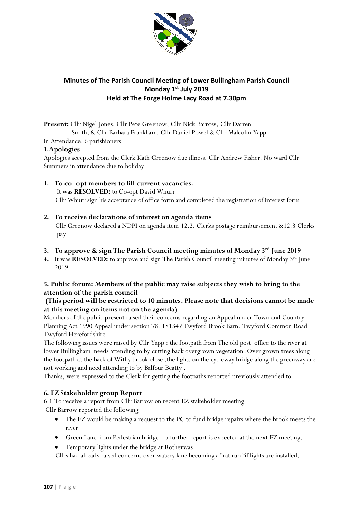

# **Minutes of The Parish Council Meeting of Lower Bullingham Parish Council Monday 1 st July 2019 Held at The Forge Holme Lacy Road at 7.30pm**

**Present:** Cllr Nigel Jones, Cllr Pete Greenow, Cllr Nick Barrow, Cllr Darren Smith, & Cllr Barbara Frankham, Cllr Daniel Powel & Cllr Malcolm Yapp

In Attendance: 6 parishioners

# **1.Apologies**

Apologies accepted from the Clerk Kath Greenow due illness. Cllr Andrew Fisher. No ward Cllr Summers in attendance due to holiday

# **1. To co -opt members to fill current vacancies.**

 It was **RESOLVED:** to Co-opt David Whurr Cllr Whurr sign his acceptance of office form and completed the registration of interest form

# **2. To receive declarations of interest on agenda items**

 Cllr Greenow declared a NDPI on agenda item 12.2. Clerks postage reimbursement &12.3 Clerks pay

- **3. To approve & sign The Parish Council meeting minutes of Monday 3rd June 2019**
- **4.** It was **RESOLVED:** to approve and sign The Parish Council meeting minutes of Monday 3rd June 2019

# **5. Public forum: Members of the public may raise subjects they wish to bring to the attention of the parish council**

# **(This period will be restricted to 10 minutes. Please note that decisions cannot be made at this meeting on items not on the agenda)**

Members of the public present raised their concerns regarding an Appeal under Town and Country Planning Act 1990 Appeal under section 78. 181347 Twyford Brook Barn, Twyford Common Road Twyford Herefordshire

The following issues were raised by Cllr Yapp : the footpath from The old post office to the river at lower Bullingham needs attending to by cutting back overgrown vegetation .Over grown trees along the footpath at the back of Withy brook close .the lights on the cycleway bridge along the greenway are not working and need attending to by Balfour Beatty .

Thanks, were expressed to the Clerk for getting the footpaths reported previously attended to

# **6. EZ Stakeholder group Report**

6.1 To receive a report from Cllr Barrow on recent EZ stakeholder meeting Cllr Barrow reported the following

- The EZ would be making a request to the PC to fund bridge repairs where the brook meets the river
- Green Lane from Pedestrian bridge a further report is expected at the next EZ meeting.
- Temporary lights under the bridge at Rotherwas

Cllrs had already raised concerns over watery lane becoming a "rat run "if lights are installed.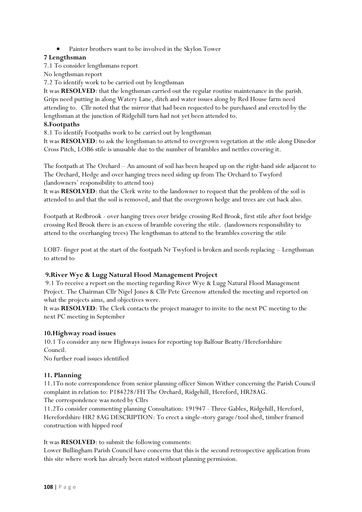Painter brothers want to be involved in the Skylon Tower

# **7 Lengthsman**

7.1 To consider lengthsmans report

No lengthsman report

7.2 To identify work to be carried out by lengthsman

It was **RESOLVED**: that the lengthsman carried out the regular routine maintenance in the parish. Grips need putting in along Watery Lane, ditch and water issues along by Red House farm need attending to. Cllr noted that the mirror that had been requested to be purchased and erected by the lengthsman at the junction of Ridgehill turn had not yet been attended to.

# **8.Footpaths**

8.1 To identify Footpaths work to be carried out by lengthsman

It was **RESOLVED**: to ask the lengthsman to attend to overgrown vegetation at the stile along Dinedor Cross Pitch, LOB6 stile is unusable due to the number of brambles and nettles covering it.

The footpath at The Orchard – An amount of soil has been heaped up on the right-hand side adjacent to The Orchard, Hedge and over hanging trees need siding up from The Orchard to Twyford (landowners' responsibility to attend too)

It was **RESOLVED**: that the Clerk write to the landowner to request that the problem of the soil is attended to and that the soil is removed, and that the overgrown hedge and trees are cut back also.

Footpath at Redbrook - over hanging trees over bridge crossing Red Brook, first stile after foot bridge crossing Red Brook there is an excess of bramble covering the stile. (landowners responsibility to attend to the overhanging trees) The lengthsman to attend to the brambles covering the stile

LOB7- finger post at the start of the footpath Nr Twyford is broken and needs replacing – Lengthsman to attend to

#### **9.River Wye & Lugg Natural Flood Management Project**

9.1 To receive a report on the meeting regarding River Wye & Lugg Natural Flood Management Project. The Chairman Cllr Nigel Jones & Cllr Pete Greenow attended the meeting and reported on what the projects aims, and objectives were.

It was **RESOLVED**: The Clerk contacts the project manager to invite to the next PC meeting to the next PC meeting in September

#### **10.Highway road issues**

10.1 To consider any new Highways issues for reporting top Balfour Beatty/Herefordshire Council.

No further road issues identified

# **11. Planning**

11.1To note correspondence from senior planning officer Simon Wither concerning the Parish Council complaint in relation to: P184228/FH The Orchard, Ridgehill, Hereford, HR28AG. The correspondence was noted by Cllrs

11.2To consider commenting planning Consultation: 191947 - Three Gables, Ridgehill, Hereford, Herefordshire HR2 8AG DESCRIPTION: To erect a single-story garage/tool shed, timber framed construction with hipped roof

It was **RESOLVED**: to submit the following comments:

Lower Bullingham Parish Council have concerns that this is the second retrospective application from this site where work has already been stated without planning permission.